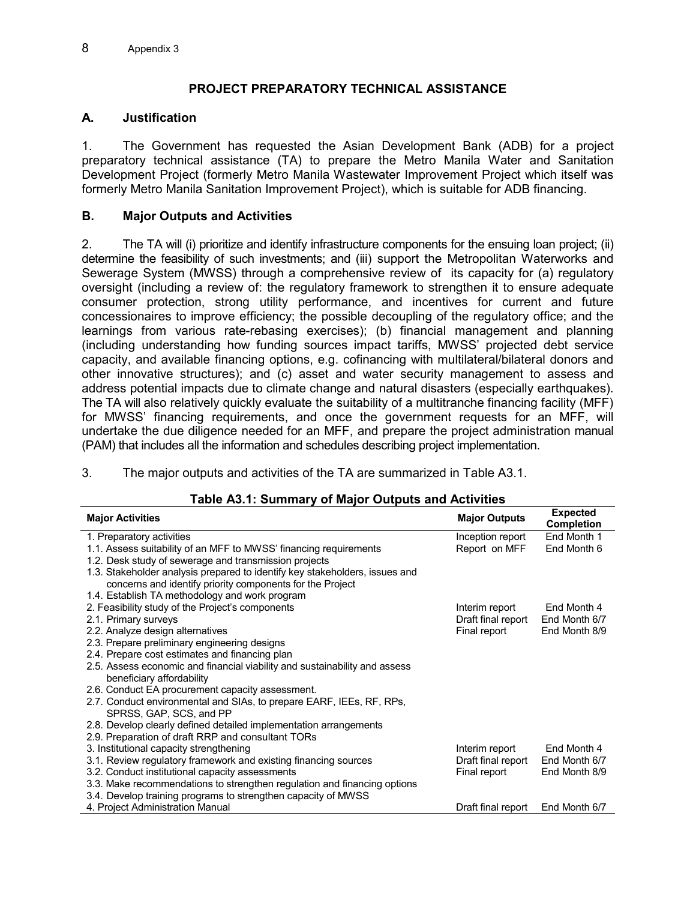# **PROJECT PREPARATORY TECHNICAL ASSISTANCE**

## **A. Justification**

1. The Government has requested the Asian Development Bank (ADB) for a project preparatory technical assistance (TA) to prepare the Metro Manila Water and Sanitation Development Project (formerly Metro Manila Wastewater Improvement Project which itself was formerly Metro Manila Sanitation Improvement Project), which is suitable for ADB financing.

## **B. Major Outputs and Activities**

2. The TA will (i) prioritize and identify infrastructure components for the ensuing loan project; (ii) determine the feasibility of such investments; and (iii) support the Metropolitan Waterworks and Sewerage System (MWSS) through a comprehensive review of its capacity for (a) regulatory oversight (including a review of: the regulatory framework to strengthen it to ensure adequate consumer protection, strong utility performance, and incentives for current and future concessionaires to improve efficiency; the possible decoupling of the regulatory office; and the learnings from various rate-rebasing exercises); (b) financial management and planning (including understanding how funding sources impact tariffs, MWSS' projected debt service capacity, and available financing options, e.g. cofinancing with multilateral/bilateral donors and other innovative structures); and (c) asset and water security management to assess and address potential impacts due to climate change and natural disasters (especially earthquakes). The TA will also relatively quickly evaluate the suitability of a multitranche financing facility (MFF) for MWSS' financing requirements, and once the government requests for an MFF, will undertake the due diligence needed for an MFF, and prepare the project administration manual (PAM) that includes all the information and schedules describing project implementation.

3. The major outputs and activities of the TA are summarized in Table A3.1.

| <b>Major Activities</b>                                                     | <b>Major Outputs</b> | <b>Expected</b><br><b>Completion</b> |
|-----------------------------------------------------------------------------|----------------------|--------------------------------------|
| 1. Preparatory activities                                                   | Inception report     | End Month 1                          |
| 1.1. Assess suitability of an MFF to MWSS' financing requirements           | Report on MFF        | End Month 6                          |
| 1.2. Desk study of sewerage and transmission projects                       |                      |                                      |
| 1.3. Stakeholder analysis prepared to identify key stakeholders, issues and |                      |                                      |
| concerns and identify priority components for the Project                   |                      |                                      |
| 1.4. Establish TA methodology and work program                              |                      |                                      |
| 2. Feasibility study of the Project's components                            | Interim report       | End Month 4                          |
| 2.1. Primary surveys                                                        | Draft final report   | End Month 6/7                        |
| 2.2. Analyze design alternatives                                            | Final report         | End Month 8/9                        |
| 2.3. Prepare preliminary engineering designs                                |                      |                                      |
| 2.4. Prepare cost estimates and financing plan                              |                      |                                      |
| 2.5. Assess economic and financial viability and sustainability and assess  |                      |                                      |
| beneficiary affordability                                                   |                      |                                      |
| 2.6. Conduct EA procurement capacity assessment.                            |                      |                                      |
| 2.7. Conduct environmental and SIAs, to prepare EARF, IEEs, RF, RPs,        |                      |                                      |
| SPRSS, GAP, SCS, and PP                                                     |                      |                                      |
| 2.8. Develop clearly defined detailed implementation arrangements           |                      |                                      |
| 2.9. Preparation of draft RRP and consultant TORs                           |                      |                                      |
| 3. Institutional capacity strengthening                                     | Interim report       | End Month 4                          |
| 3.1. Review regulatory framework and existing financing sources             | Draft final report   | End Month 6/7                        |
| 3.2. Conduct institutional capacity assessments                             | Final report         | End Month 8/9                        |
| 3.3. Make recommendations to strengthen regulation and financing options    |                      |                                      |
| 3.4. Develop training programs to strengthen capacity of MWSS               |                      |                                      |
| 4. Project Administration Manual                                            | Draft final report   | End Month 6/7                        |

### **Table A3.1: Summary of Major Outputs and Activities**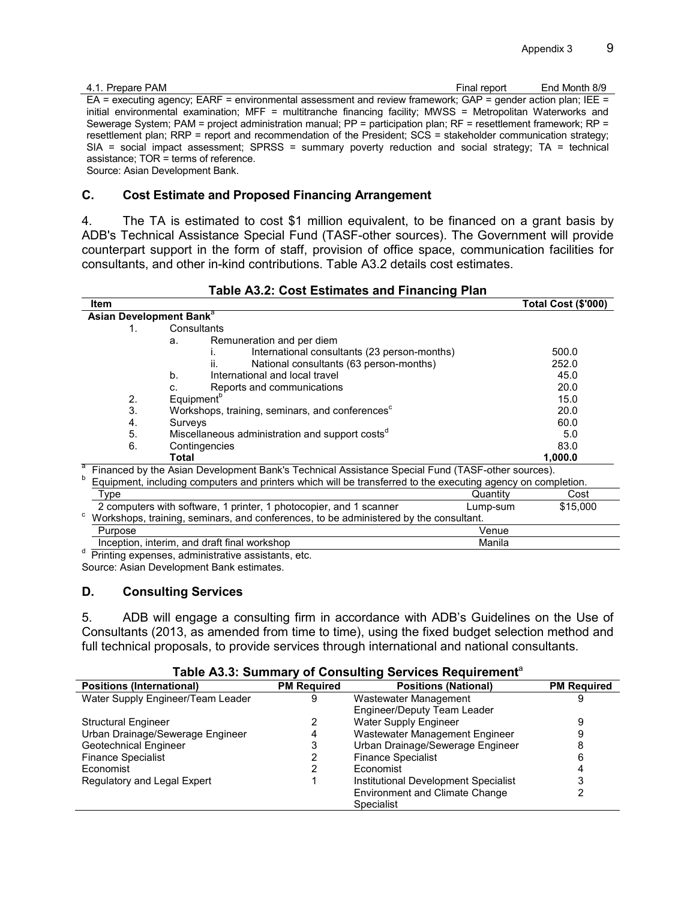| 4.1. Prepare PAM                                                                                                 | Final report | End Month 8/9 |
|------------------------------------------------------------------------------------------------------------------|--------------|---------------|
| EA = executing agency; EARF = environmental assessment and review framework; GAP = gender action plan; IEE =     |              |               |
| initial environmental examination; MFF = multitranche financing facility; MWSS = Metropolitan Waterworks and     |              |               |
| Sewerage System; PAM = project administration manual; PP = participation plan; RF = resettlement framework; RP = |              |               |
| resettlement plan; RRP = report and recommendation of the President; SCS = stakeholder communication strategy;   |              |               |
| $SIA$ = social impact assessment; SPRSS = summary poverty reduction and social strategy; TA = technical          |              |               |
| assistance; $TOR = terms$ of reference.                                                                          |              |               |
| Source: Asian Development Bank.                                                                                  |              |               |

#### **C. Cost Estimate and Proposed Financing Arrangement**

4. The TA is estimated to cost \$1 million equivalent, to be financed on a grant basis by ADB's Technical Assistance Special Fund (TASF-other sources). The Government will provide counterpart support in the form of staff, provision of office space, communication facilities for consultants, and other in-kind contributions. Table A3.2 details cost estimates.

**Table A3.2: Cost Estimates and Financing Plan**

|                                                                                                                                                                                                                            | Item                                                                                  |                |                                                             |          | <b>Total Cost (\$'000)</b> |
|----------------------------------------------------------------------------------------------------------------------------------------------------------------------------------------------------------------------------|---------------------------------------------------------------------------------------|----------------|-------------------------------------------------------------|----------|----------------------------|
|                                                                                                                                                                                                                            | Asian Development Bank <sup>a</sup>                                                   |                |                                                             |          |                            |
|                                                                                                                                                                                                                            | Consultants<br>1.                                                                     |                |                                                             |          |                            |
|                                                                                                                                                                                                                            |                                                                                       | a.             | Remuneration and per diem                                   |          |                            |
|                                                                                                                                                                                                                            |                                                                                       |                | International consultants (23 person-months)                |          | 500.0                      |
|                                                                                                                                                                                                                            |                                                                                       |                | National consultants (63 person-months)<br>ii.              |          | 252.0                      |
|                                                                                                                                                                                                                            |                                                                                       | b <sub>1</sub> | International and local travel                              |          | 45.0                       |
|                                                                                                                                                                                                                            |                                                                                       | C.             | Reports and communications                                  |          | 20.0                       |
|                                                                                                                                                                                                                            | 2.                                                                                    |                | Equipment <sup>b</sup>                                      |          | 15.0                       |
|                                                                                                                                                                                                                            | 3.                                                                                    |                | Workshops, training, seminars, and conferences <sup>c</sup> |          | 20.0                       |
|                                                                                                                                                                                                                            | 4.                                                                                    | Surveys        |                                                             |          | 60.0                       |
|                                                                                                                                                                                                                            | 5.                                                                                    |                | Miscellaneous administration and support costs <sup>d</sup> |          | 5.0                        |
|                                                                                                                                                                                                                            | 6.                                                                                    |                | Contingencies                                               |          | 83.0                       |
|                                                                                                                                                                                                                            |                                                                                       | Total          |                                                             |          | 1,000.0                    |
| а<br>Financed by the Asian Development Bank's Technical Assistance Special Fund (TASF-other sources).<br>b<br>Equipment, including computers and printers which will be transferred to the executing agency on completion. |                                                                                       |                |                                                             |          |                            |
|                                                                                                                                                                                                                            |                                                                                       |                |                                                             |          |                            |
|                                                                                                                                                                                                                            | Type                                                                                  |                |                                                             | Quantity | Cost                       |
|                                                                                                                                                                                                                            | 2 computers with software, 1 printer, 1 photocopier, and 1 scanner                    |                |                                                             | Lump-sum | \$15,000                   |
| с                                                                                                                                                                                                                          | Workshops, training, seminars, and conferences, to be administered by the consultant. |                |                                                             |          |                            |
|                                                                                                                                                                                                                            | Purpose                                                                               |                |                                                             | Venue    |                            |
|                                                                                                                                                                                                                            |                                                                                       |                | Inception, interim, and draft final workshop                | Manila   |                            |
| d                                                                                                                                                                                                                          |                                                                                       |                | <b>Drinting ovnopege, administrative assistants, etc.</b>   |          |                            |

 Printing expenses, administrative assistants, etc. Source: Asian Development Bank estimates.

### **D. Consulting Services**

5. ADB will engage a consulting firm in accordance with ADB's Guidelines on the Use of Consultants (2013, as amended from time to time), using the fixed budget selection method and full technical proposals, to provide services through international and national consultants.

| <b>Positions (International)</b>  | <b>PM Required</b> | <b>Positions (National)</b>           | <b>PM Required</b> |
|-----------------------------------|--------------------|---------------------------------------|--------------------|
| Water Supply Engineer/Team Leader | 9                  | Wastewater Management                 |                    |
|                                   |                    | Engineer/Deputy Team Leader           |                    |
| <b>Structural Engineer</b>        |                    | Water Supply Engineer                 |                    |
| Urban Drainage/Sewerage Engineer  | 4                  | Wastewater Management Engineer        | 9                  |
| Geotechnical Engineer             |                    | Urban Drainage/Sewerage Engineer      | 8                  |
| <b>Finance Specialist</b>         |                    | <b>Finance Specialist</b>             | 6                  |
| Economist                         |                    | Economist                             |                    |
| Regulatory and Legal Expert       |                    | Institutional Development Specialist  |                    |
|                                   |                    | <b>Environment and Climate Change</b> |                    |
|                                   |                    | Specialist                            |                    |

#### **Table A3.3: Summary of Consulting Services Requirement**<sup>a</sup>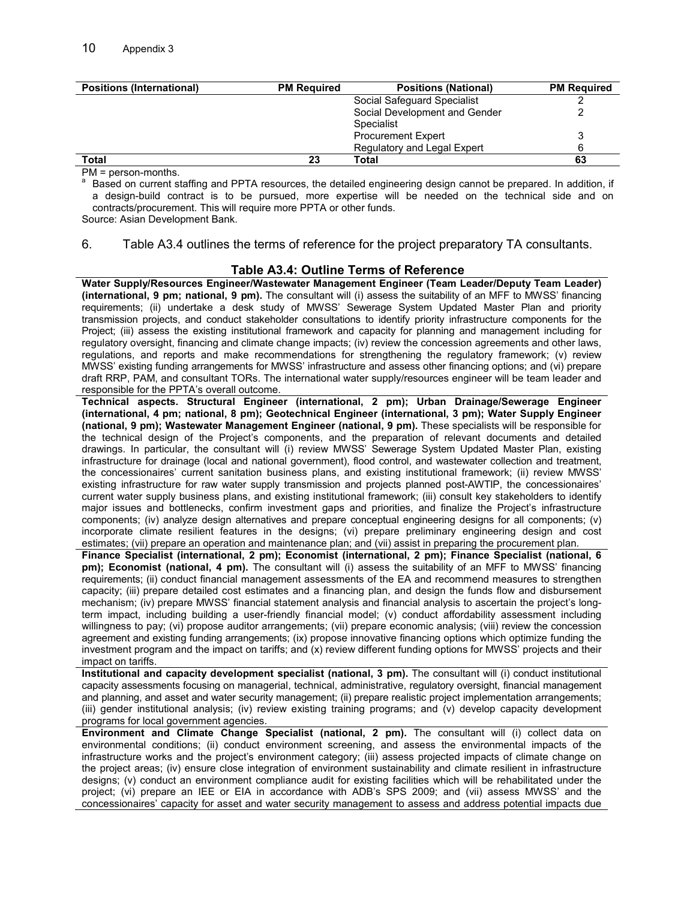| <b>Positions (International)</b> | <b>PM Required</b> | <b>Positions (National)</b>   | <b>PM Required</b> |
|----------------------------------|--------------------|-------------------------------|--------------------|
|                                  |                    | Social Safeguard Specialist   |                    |
|                                  |                    | Social Development and Gender |                    |
|                                  |                    | Specialist                    |                    |
|                                  |                    | <b>Procurement Expert</b>     |                    |
|                                  |                    | Regulatory and Legal Expert   |                    |
| Total                            | 23                 | Total                         | 63                 |

PM = person-months.

a

 Based on current staffing and PPTA resources, the detailed engineering design cannot be prepared. In addition, if a design-build contract is to be pursued, more expertise will be needed on the technical side and on contracts/procurement. This will require more PPTA or other funds.

Source: Asian Development Bank.

#### 6. Table A3.4 outlines the terms of reference for the project preparatory TA consultants.

#### **Table A3.4: Outline Terms of Reference**

**Water Supply/Resources Engineer/Wastewater Management Engineer (Team Leader/Deputy Team Leader) (international, 9 pm; national, 9 pm).** The consultant will (i) assess the suitability of an MFF to MWSS' financing requirements; (ii) undertake a desk study of MWSS' Sewerage System Updated Master Plan and priority transmission projects, and conduct stakeholder consultations to identify priority infrastructure components for the Project; (iii) assess the existing institutional framework and capacity for planning and management including for regulatory oversight, financing and climate change impacts; (iv) review the concession agreements and other laws, regulations, and reports and make recommendations for strengthening the regulatory framework; (v) review MWSS' existing funding arrangements for MWSS' infrastructure and assess other financing options; and (vi) prepare draft RRP, PAM, and consultant TORs. The international water supply/resources engineer will be team leader and responsible for the PPTA's overall outcome.

**Technical aspects. Structural Engineer (international, 2 pm); Urban Drainage/Sewerage Engineer (international, 4 pm; national, 8 pm); Geotechnical Engineer (international, 3 pm); Water Supply Engineer (national, 9 pm); Wastewater Management Engineer (national, 9 pm).** These specialists will be responsible for the technical design of the Project's components, and the preparation of relevant documents and detailed drawings. In particular, the consultant will (i) review MWSS' Sewerage System Updated Master Plan, existing infrastructure for drainage (local and national government), flood control, and wastewater collection and treatment, the concessionaires' current sanitation business plans, and existing institutional framework; (ii) review MWSS' existing infrastructure for raw water supply transmission and projects planned post-AWTIP, the concessionaires' current water supply business plans, and existing institutional framework; (iii) consult key stakeholders to identify major issues and bottlenecks, confirm investment gaps and priorities, and finalize the Project's infrastructure components; (iv) analyze design alternatives and prepare conceptual engineering designs for all components; (v) incorporate climate resilient features in the designs; (vi) prepare preliminary engineering design and cost estimates; (vii) prepare an operation and maintenance plan; and (vii) assist in preparing the procurement plan.

**Finance Specialist (international, 2 pm); Economist (international, 2 pm); Finance Specialist (national, 6 pm); Economist (national, 4 pm).** The consultant will (i) assess the suitability of an MFF to MWSS' financing requirements; (ii) conduct financial management assessments of the EA and recommend measures to strengthen capacity; (iii) prepare detailed cost estimates and a financing plan, and design the funds flow and disbursement mechanism; (iv) prepare MWSS' financial statement analysis and financial analysis to ascertain the project's longterm impact, including building a user-friendly financial model; (v) conduct affordability assessment including willingness to pay; (vi) propose auditor arrangements; (vii) prepare economic analysis; (viii) review the concession agreement and existing funding arrangements; (ix) propose innovative financing options which optimize funding the investment program and the impact on tariffs; and (x) review different funding options for MWSS' projects and their impact on tariffs.

**Institutional and capacity development specialist (national, 3 pm).** The consultant will (i) conduct institutional capacity assessments focusing on managerial, technical, administrative, regulatory oversight, financial management and planning, and asset and water security management; (ii) prepare realistic project implementation arrangements; (iii) gender institutional analysis; (iv) review existing training programs; and (v) develop capacity development programs for local government agencies.

**Environment and Climate Change Specialist (national, 2 pm).** The consultant will (i) collect data on environmental conditions; (ii) conduct environment screening, and assess the environmental impacts of the infrastructure works and the project's environment category; (iii) assess projected impacts of climate change on the project areas; (iv) ensure close integration of environment sustainability and climate resilient in infrastructure designs; (v) conduct an environment compliance audit for existing facilities which will be rehabilitated under the project; (vi) prepare an IEE or EIA in accordance with ADB's SPS 2009; and (vii) assess MWSS' and the concessionaires' capacity for asset and water security management to assess and address potential impacts due